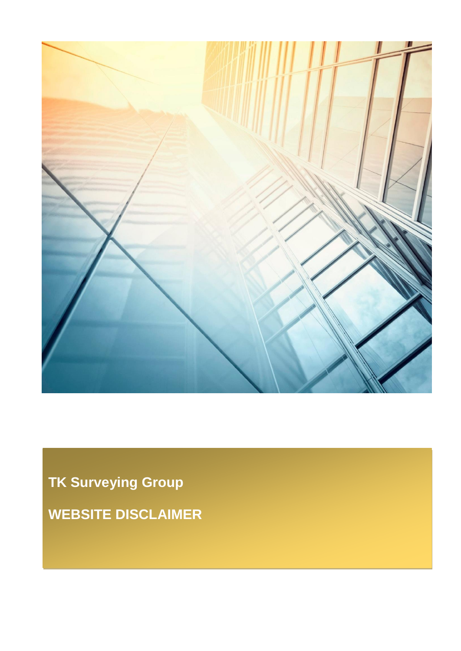

**TK Surveying Group WEBSITE DISCLAIMER**